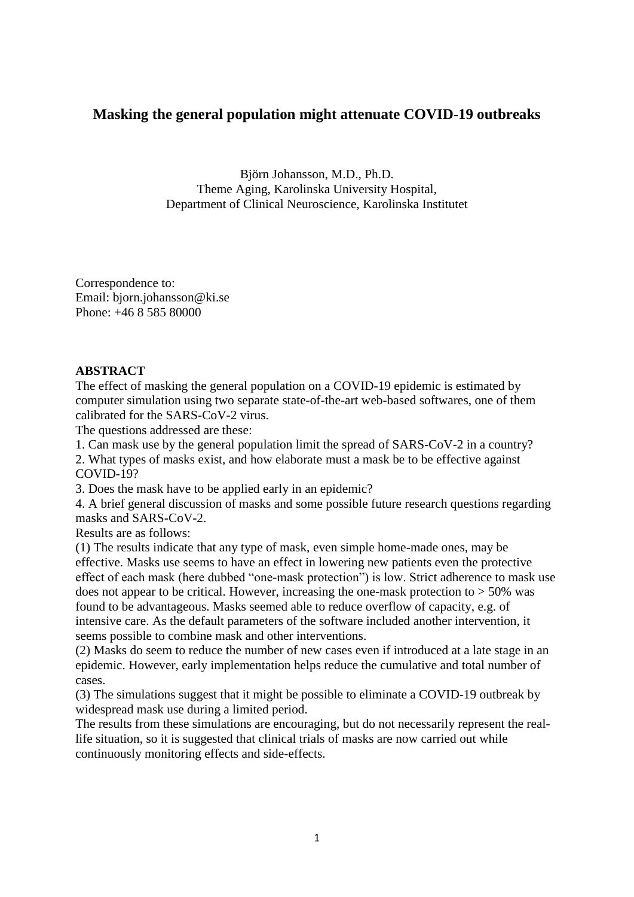# **Masking the general population might attenuate COVID-19 outbreaks**

Björn Johansson, M.D., Ph.D. Theme Aging, Karolinska University Hospital, Department of Clinical Neuroscience, Karolinska Institutet

Correspondence to: Email: bjorn.johansson@ki.se Phone: +46 8 585 80000

## **ABSTRACT**

The effect of masking the general population on a COVID-19 epidemic is estimated by computer simulation using two separate state-of-the-art web-based softwares, one of them calibrated for the SARS-CoV-2 virus.

The questions addressed are these:

1. Can mask use by the general population limit the spread of SARS-CoV-2 in a country?

2. What types of masks exist, and how elaborate must a mask be to be effective against COVID-19?

3. Does the mask have to be applied early in an epidemic?

4. A brief general discussion of masks and some possible future research questions regarding masks and SARS-CoV-2.

Results are as follows:

(1) The results indicate that any type of mask, even simple home-made ones, may be effective. Masks use seems to have an effect in lowering new patients even the protective effect of each mask (here dubbed "one-mask protection") is low. Strict adherence to mask use does not appear to be critical. However, increasing the one-mask protection to  $>$  50% was found to be advantageous. Masks seemed able to reduce overflow of capacity, e.g. of intensive care. As the default parameters of the software included another intervention, it seems possible to combine mask and other interventions.

(2) Masks do seem to reduce the number of new cases even if introduced at a late stage in an epidemic. However, early implementation helps reduce the cumulative and total number of cases.

(3) The simulations suggest that it might be possible to eliminate a COVID-19 outbreak by widespread mask use during a limited period.

The results from these simulations are encouraging, but do not necessarily represent the reallife situation, so it is suggested that clinical trials of masks are now carried out while continuously monitoring effects and side-effects.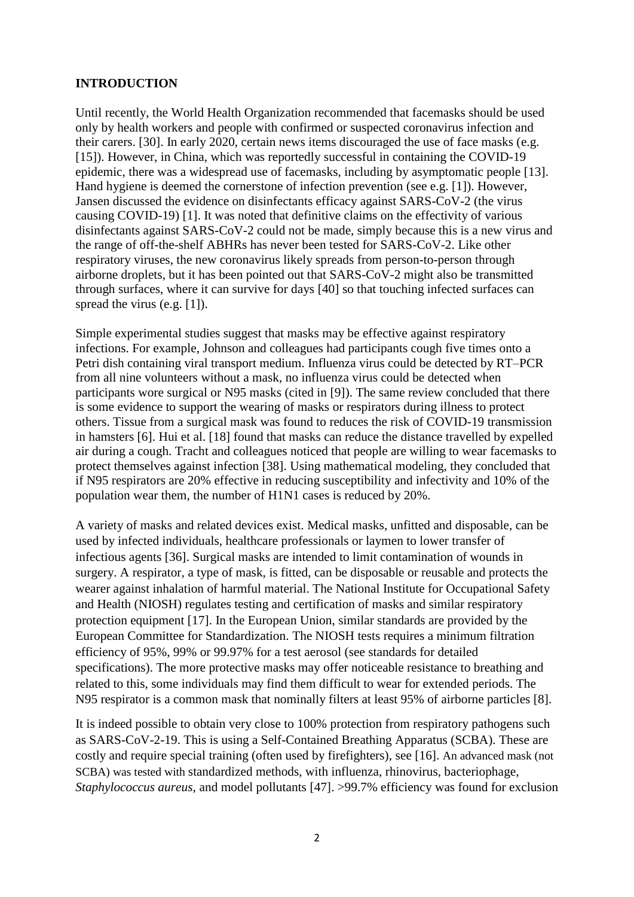## **INTRODUCTION**

Until recently, the World Health Organization recommended that facemasks should be used only by health workers and people with confirmed or suspected coronavirus infection and their carers. [30]. In early 2020, certain news items discouraged the use of face masks (e.g. [15]). However, in China, which was reportedly successful in containing the COVID-19 epidemic, there was a widespread use of facemasks, including by asymptomatic people [13]. Hand hygiene is deemed the cornerstone of infection prevention (see e.g. [1]). However, Jansen discussed the evidence on disinfectants efficacy against SARS-CoV-2 (the virus causing COVID-19) [1]. It was noted that definitive claims on the effectivity of various disinfectants against SARS-CoV-2 could not be made, simply because this is a new virus and the range of off-the-shelf ABHRs has never been tested for SARS-CoV-2. Like other respiratory viruses, the new coronavirus likely spreads from person-to-person through airborne droplets, but it has been pointed out that SARS-CoV-2 might also be transmitted through surfaces, where it can survive for days [40] so that touching infected surfaces can spread the virus (e.g. [1]).

Simple experimental studies suggest that masks may be effective against respiratory infections. For example, Johnson and colleagues had participants cough five times onto a Petri dish containing viral transport medium. Influenza virus could be detected by RT–PCR from all nine volunteers without a mask, no influenza virus could be detected when participants wore surgical or N95 masks (cited in [9]). The same review concluded that there is some evidence to support the wearing of masks or respirators during illness to protect others. Tissue from a surgical mask was found to reduces the risk of COVID-19 transmission in hamsters [6]. Hui et al. [18] found that masks can reduce the distance travelled by expelled air during a cough. Tracht and colleagues noticed that people are willing to wear facemasks to protect themselves against infection [38]. Using mathematical modeling, they concluded that if N95 respirators are 20% effective in reducing susceptibility and infectivity and 10% of the population wear them, the number of H1N1 cases is reduced by 20%.

A variety of masks and related devices exist. Medical masks, unfitted and disposable, can be used by infected individuals, healthcare professionals or laymen to lower transfer of infectious agents [36]. Surgical masks are intended to limit contamination of wounds in surgery. A respirator, a type of mask, is fitted, can be disposable or reusable and protects the wearer against inhalation of harmful material. The National Institute for Occupational Safety and Health (NIOSH) regulates testing and certification of masks and similar respiratory protection equipment [17]. In the European Union, similar standards are provided by the European Committee for Standardization. The NIOSH tests requires a minimum filtration efficiency of 95%, 99% or 99.97% for a test aerosol (see standards for detailed specifications). The more protective masks may offer noticeable resistance to breathing and related to this, some individuals may find them difficult to wear for extended periods. The N95 respirator is a common mask that nominally filters at least 95% of airborne particles [8].

It is indeed possible to obtain very close to 100% protection from respiratory pathogens such as SARS-CoV-2-19. This is using a Self-Contained Breathing Apparatus (SCBA). These are costly and require special training (often used by firefighters), see [16]. An advanced mask (not SCBA) was tested with standardized methods, with influenza, rhinovirus, bacteriophage, *Staphylococcus aureus*, and model pollutants [47]. >99.7% efficiency was found for exclusion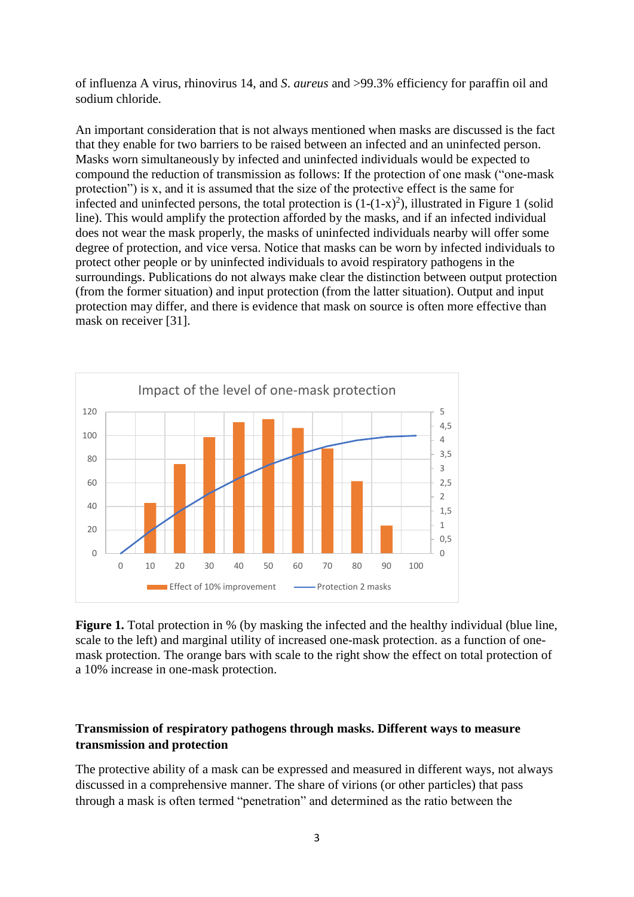of influenza A virus, rhinovirus 14, and *S*. *aureus* and >99.3% efficiency for paraffin oil and sodium chloride.

An important consideration that is not always mentioned when masks are discussed is the fact that they enable for two barriers to be raised between an infected and an uninfected person. Masks worn simultaneously by infected and uninfected individuals would be expected to compound the reduction of transmission as follows: If the protection of one mask ("one-mask protection") is x, and it is assumed that the size of the protective effect is the same for infected and uninfected persons, the total protection is  $(1-(1-x)^2)$ , illustrated in Figure 1 (solid line). This would amplify the protection afforded by the masks, and if an infected individual does not wear the mask properly, the masks of uninfected individuals nearby will offer some degree of protection, and vice versa. Notice that masks can be worn by infected individuals to protect other people or by uninfected individuals to avoid respiratory pathogens in the surroundings. Publications do not always make clear the distinction between output protection (from the former situation) and input protection (from the latter situation). Output and input protection may differ, and there is evidence that mask on source is often more effective than mask on receiver [31].



**Figure 1.** Total protection in % (by masking the infected and the healthy individual (blue line, scale to the left) and marginal utility of increased one-mask protection. as a function of onemask protection. The orange bars with scale to the right show the effect on total protection of a 10% increase in one-mask protection.

## **Transmission of respiratory pathogens through masks. Different ways to measure transmission and protection**

The protective ability of a mask can be expressed and measured in different ways, not always discussed in a comprehensive manner. The share of virions (or other particles) that pass through a mask is often termed "penetration" and determined as the ratio between the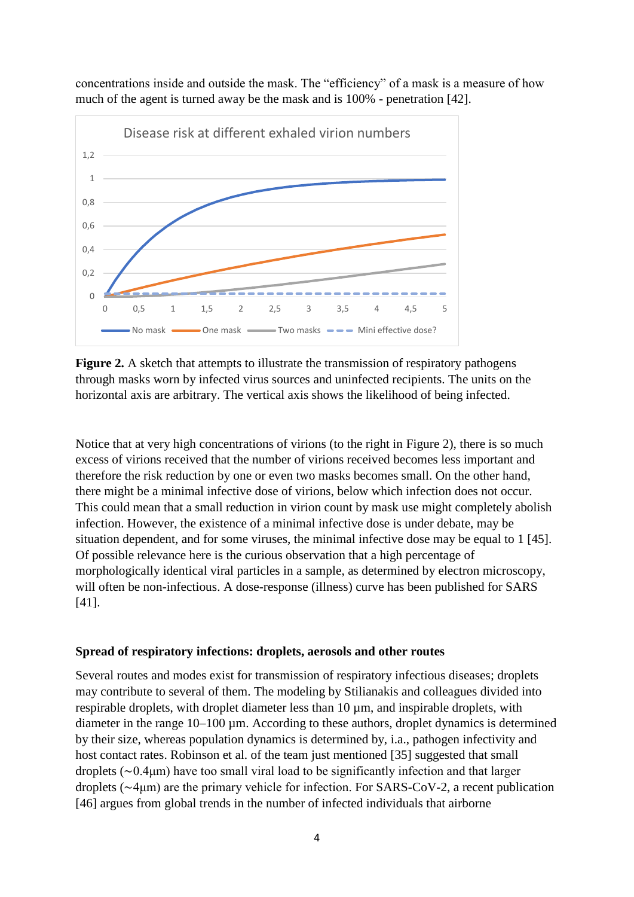concentrations inside and outside the mask. The "efficiency" of a mask is a measure of how much of the agent is turned away be the mask and is 100% - penetration [42].



**Figure 2.** A sketch that attempts to illustrate the transmission of respiratory pathogens through masks worn by infected virus sources and uninfected recipients. The units on the horizontal axis are arbitrary. The vertical axis shows the likelihood of being infected.

Notice that at very high concentrations of virions (to the right in Figure 2), there is so much excess of virions received that the number of virions received becomes less important and therefore the risk reduction by one or even two masks becomes small. On the other hand, there might be a minimal infective dose of virions, below which infection does not occur. This could mean that a small reduction in virion count by mask use might completely abolish infection. However, the existence of a minimal infective dose is under debate, may be situation dependent, and for some viruses, the minimal infective dose may be equal to 1 [45]. Of possible relevance here is the curious observation that a high percentage of morphologically identical viral particles in a sample, as determined by electron microscopy, will often be non-infectious. A dose-response (illness) curve has been published for SARS [41].

#### **Spread of respiratory infections: droplets, aerosols and other routes**

Several routes and modes exist for transmission of respiratory infectious diseases; droplets may contribute to several of them. The modeling by Stilianakis and colleagues divided into respirable droplets, with droplet diameter less than 10  $\mu$ m, and inspirable droplets, with diameter in the range  $10-100 \mu$ m. According to these authors, droplet dynamics is determined by their size, whereas population dynamics is determined by, i.a., pathogen infectivity and host contact rates. Robinson et al. of the team just mentioned [35] suggested that small droplets (∼0.4μm) have too small viral load to be significantly infection and that larger droplets (∼4μm) are the primary vehicle for infection. For SARS-CoV-2, a recent publication [46] argues from global trends in the number of infected individuals that airborne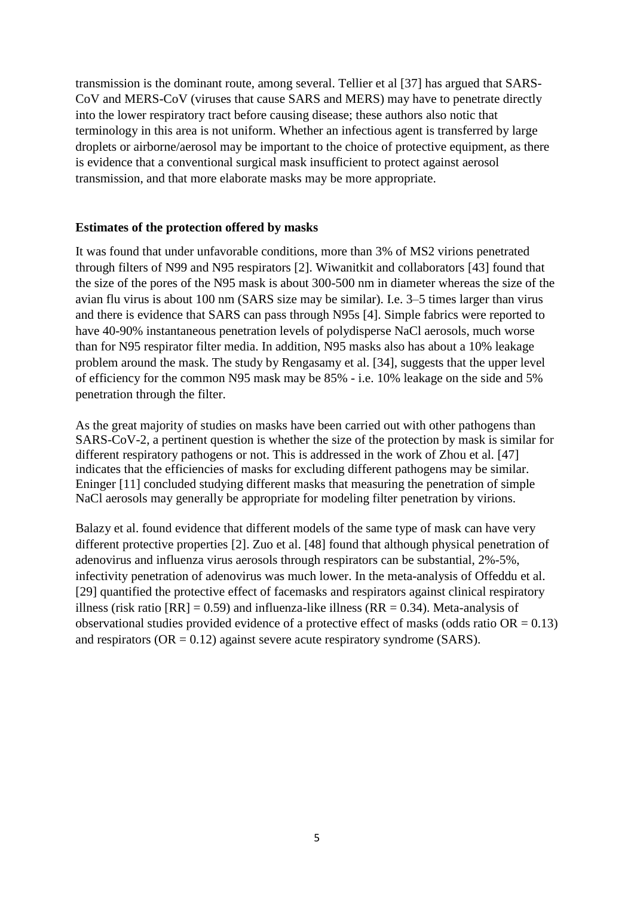transmission is the dominant route, among several. Tellier et al [37] has argued that SARS-CoV and MERS-CoV (viruses that cause SARS and MERS) may have to penetrate directly into the lower respiratory tract before causing disease; these authors also notic that terminology in this area is not uniform. Whether an infectious agent is transferred by large droplets or airborne/aerosol may be important to the choice of protective equipment, as there is evidence that a conventional surgical mask insufficient to protect against aerosol transmission, and that more elaborate masks may be more appropriate.

## **Estimates of the protection offered by masks**

It was found that under unfavorable conditions, more than 3% of MS2 virions penetrated through filters of N99 and N95 respirators [2]. Wiwanitkit and collaborators [43] found that the size of the pores of the N95 mask is about 300-500 nm in diameter whereas the size of the avian flu virus is about 100 nm (SARS size may be similar). I.e. 3–5 times larger than virus and there is evidence that SARS can pass through N95s [4]. Simple fabrics were reported to have 40-90% instantaneous penetration levels of polydisperse NaCl aerosols, much worse than for N95 respirator filter media. In addition, N95 masks also has about a 10% leakage problem around the mask. The study by Rengasamy et al. [34], suggests that the upper level of efficiency for the common N95 mask may be 85% - i.e. 10% leakage on the side and 5% penetration through the filter.

As the great majority of studies on masks have been carried out with other pathogens than SARS-CoV-2, a pertinent question is whether the size of the protection by mask is similar for different respiratory pathogens or not. This is addressed in the work of Zhou et al. [47] indicates that the efficiencies of masks for excluding different pathogens may be similar. Eninger [11] concluded studying different masks that measuring the penetration of simple NaCl aerosols may generally be appropriate for modeling filter penetration by virions.

Balazy et al. found evidence that different models of the same type of mask can have very different protective properties [2]. Zuo et al. [48] found that although physical penetration of adenovirus and influenza virus aerosols through respirators can be substantial, 2%-5%, infectivity penetration of adenovirus was much lower. In the meta-analysis of Offeddu et al. [29] quantified the protective effect of facemasks and respirators against clinical respiratory illness (risk ratio  $[RR] = 0.59$ ) and influenza-like illness ( $RR = 0.34$ ). Meta-analysis of observational studies provided evidence of a protective effect of masks (odds ratio  $OR = 0.13$ ) and respirators ( $OR = 0.12$ ) against severe acute respiratory syndrome (SARS).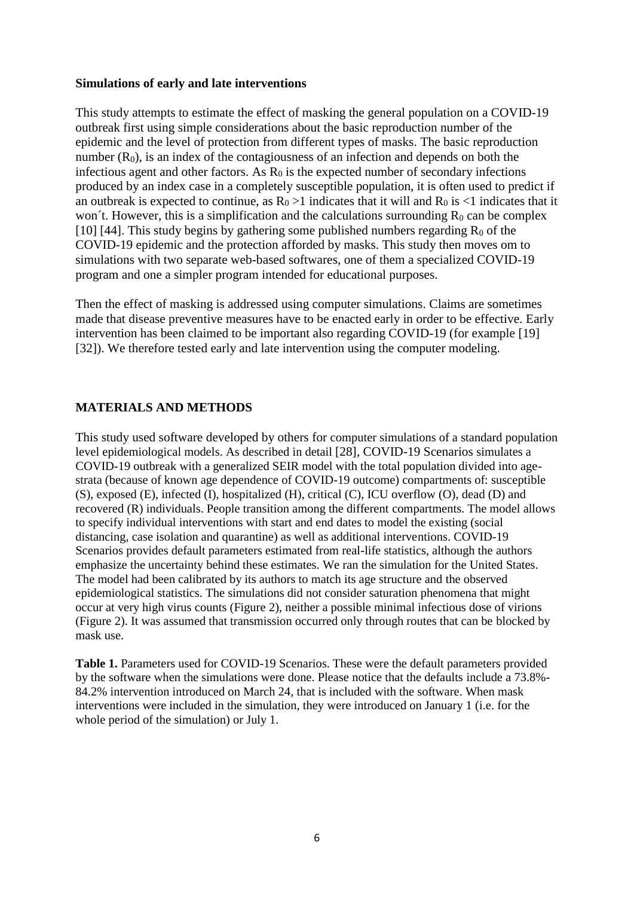#### **Simulations of early and late interventions**

This study attempts to estimate the effect of masking the general population on a COVID-19 outbreak first using simple considerations about the basic reproduction number of the epidemic and the level of protection from different types of masks. The basic reproduction number  $(R_0)$ , is an index of the contagiousness of an infection and depends on both the infectious agent and other factors. As  $R_0$  is the expected number of secondary infections produced by an index case in a completely susceptible population, it is often used to predict if an outbreak is expected to continue, as  $R_0 > 1$  indicates that it will and  $R_0$  is  $\lt 1$  indicates that it won't. However, this is a simplification and the calculations surrounding  $R_0$  can be complex [10] [44]. This study begins by gathering some published numbers regarding  $R_0$  of the COVID-19 epidemic and the protection afforded by masks. This study then moves om to simulations with two separate web-based softwares, one of them a specialized COVID-19 program and one a simpler program intended for educational purposes.

Then the effect of masking is addressed using computer simulations. Claims are sometimes made that disease preventive measures have to be enacted early in order to be effective. Early intervention has been claimed to be important also regarding COVID-19 (for example [19] [32]). We therefore tested early and late intervention using the computer modeling.

#### **MATERIALS AND METHODS**

This study used software developed by others for computer simulations of a standard population level epidemiological models. As described in detail [28], COVID-19 Scenarios simulates a COVID-19 outbreak with a generalized SEIR model with the total population divided into agestrata (because of known age dependence of COVID-19 outcome) compartments of: susceptible (S), exposed (E), infected (I), hospitalized (H), critical (C), ICU overflow (O), dead (D) and recovered (R) individuals. People transition among the different compartments. The model allows to specify individual interventions with start and end dates to model the existing (social distancing, case isolation and quarantine) as well as additional interventions. COVID-19 Scenarios provides default parameters estimated from real-life statistics, although the authors emphasize the uncertainty behind these estimates. We ran the simulation for the United States. The model had been calibrated by its authors to match its age structure and the observed epidemiological statistics. The simulations did not consider saturation phenomena that might occur at very high virus counts (Figure 2), neither a possible minimal infectious dose of virions (Figure 2). It was assumed that transmission occurred only through routes that can be blocked by mask use.

**Table 1.** Parameters used for COVID-19 Scenarios. These were the default parameters provided by the software when the simulations were done. Please notice that the defaults include a 73.8%- 84.2% intervention introduced on March 24, that is included with the software. When mask interventions were included in the simulation, they were introduced on January 1 (i.e. for the whole period of the simulation) or July 1.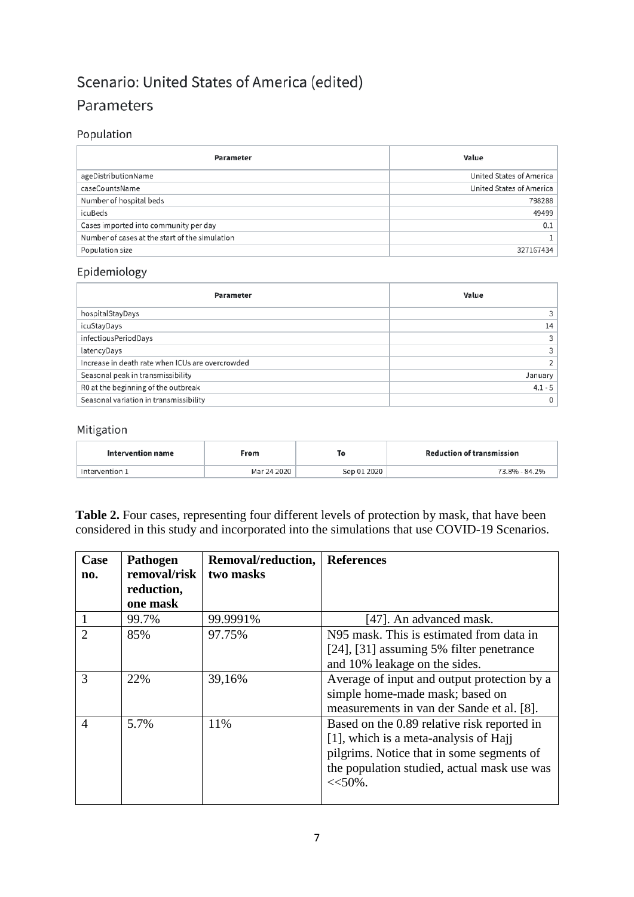# Scenario: United States of America (edited) Parameters

## Population

| Parameter                                      | Value                           |
|------------------------------------------------|---------------------------------|
| ageDistributionName                            | United States of America        |
| caseCountsName                                 | <b>United States of America</b> |
| Number of hospital beds                        | 798288                          |
| icuBeds                                        | 49499                           |
| Cases imported into community per day          | 0.1                             |
| Number of cases at the start of the simulation |                                 |
| Population size                                | 327167434                       |

# Epidemiology

| Parameter                                        | Value     |
|--------------------------------------------------|-----------|
| hospitalStayDays                                 |           |
| icuStayDays                                      | 14        |
| infectiousPeriodDays                             |           |
| latencyDays                                      |           |
| Increase in death rate when ICUs are overcrowded |           |
| Seasonal peak in transmissibility                | January   |
| R0 at the beginning of the outbreak              | $4.1 - 5$ |
| Seasonal variation in transmissibility           |           |

## Mitigation

| Intervention name | From        |             | <b>Reduction of transmission</b> |  |
|-------------------|-------------|-------------|----------------------------------|--|
| Intervention 1    | Mar 24 2020 | Sep 01 2020 | 73.8% - 84.2%                    |  |

**Table 2.** Four cases, representing four different levels of protection by mask, that have been considered in this study and incorporated into the simulations that use COVID-19 Scenarios.

| Case          | <b>Pathogen</b> | Removal/reduction, | <b>References</b>                           |  |  |
|---------------|-----------------|--------------------|---------------------------------------------|--|--|
| no.           | removal/risk    | two masks          |                                             |  |  |
|               | reduction,      |                    |                                             |  |  |
|               | one mask        |                    |                                             |  |  |
| $\mathbf{1}$  | 99.7%           | 99.9991%           | [47]. An advanced mask.                     |  |  |
| $\mathcal{D}$ | 85%             | 97.75%             | N95 mask. This is estimated from data in    |  |  |
|               |                 |                    | [24], [31] assuming 5% filter penetrance    |  |  |
|               |                 |                    | and 10% leakage on the sides.               |  |  |
| 3             | 22%             | 39,16%             | Average of input and output protection by a |  |  |
|               |                 |                    | simple home-made mask; based on             |  |  |
|               |                 |                    | measurements in van der Sande et al. [8].   |  |  |
| 4             | 5.7%            | 11%                | Based on the 0.89 relative risk reported in |  |  |
|               |                 |                    | [1], which is a meta-analysis of Hajj       |  |  |
|               |                 |                    | pilgrims. Notice that in some segments of   |  |  |
|               |                 |                    | the population studied, actual mask use was |  |  |
|               |                 |                    | $<<$ 50%.                                   |  |  |
|               |                 |                    |                                             |  |  |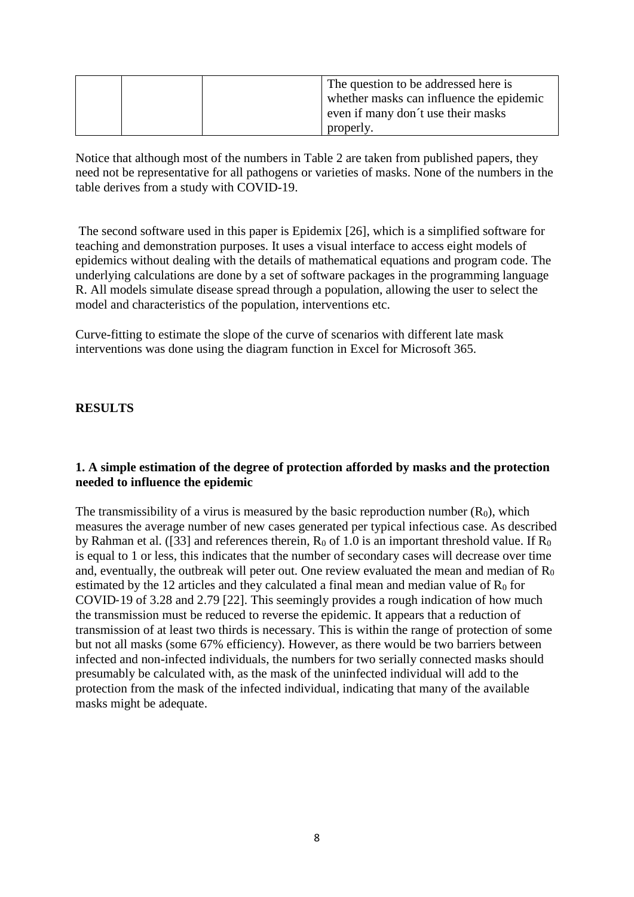| The question to be addressed here is<br>whether masks can influence the epidemic<br>even if many don't use their masks |
|------------------------------------------------------------------------------------------------------------------------|
| properly.                                                                                                              |

Notice that although most of the numbers in Table 2 are taken from published papers, they need not be representative for all pathogens or varieties of masks. None of the numbers in the table derives from a study with COVID-19.

The second software used in this paper is Epidemix [26], which is a simplified software for teaching and demonstration purposes. It uses a visual interface to access eight models of epidemics without dealing with the details of mathematical equations and program code. The underlying calculations are done by a set of software packages in the programming language R. All models simulate disease spread through a population, allowing the user to select the model and characteristics of the population, interventions etc.

Curve-fitting to estimate the slope of the curve of scenarios with different late mask interventions was done using the diagram function in Excel for Microsoft 365.

## **RESULTS**

#### **1. A simple estimation of the degree of protection afforded by masks and the protection needed to influence the epidemic**

The transmissibility of a virus is measured by the basic reproduction number  $(R_0)$ , which measures the average number of new cases generated per typical infectious case. As described by Rahman et al. ([33] and references therein,  $R_0$  of 1.0 is an important threshold value. If  $R_0$ is equal to 1 or less, this indicates that the number of secondary cases will decrease over time and, eventually, the outbreak will peter out. One review evaluated the mean and median of  $R_0$ estimated by the 12 articles and they calculated a final mean and median value of  $R_0$  for COVID‐19 of 3.28 and 2.79 [22]. This seemingly provides a rough indication of how much the transmission must be reduced to reverse the epidemic. It appears that a reduction of transmission of at least two thirds is necessary. This is within the range of protection of some but not all masks (some 67% efficiency). However, as there would be two barriers between infected and non-infected individuals, the numbers for two serially connected masks should presumably be calculated with, as the mask of the uninfected individual will add to the protection from the mask of the infected individual, indicating that many of the available masks might be adequate.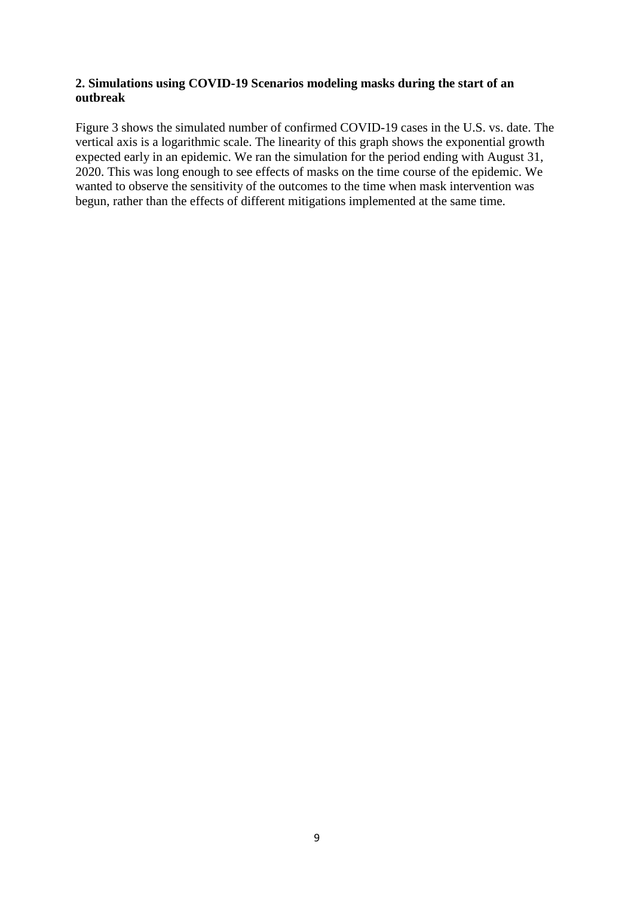## **2. Simulations using COVID-19 Scenarios modeling masks during the start of an outbreak**

Figure 3 shows the simulated number of confirmed COVID-19 cases in the U.S. vs. date. The vertical axis is a logarithmic scale. The linearity of this graph shows the exponential growth expected early in an epidemic. We ran the simulation for the period ending with August 31, 2020. This was long enough to see effects of masks on the time course of the epidemic. We wanted to observe the sensitivity of the outcomes to the time when mask intervention was begun, rather than the effects of different mitigations implemented at the same time.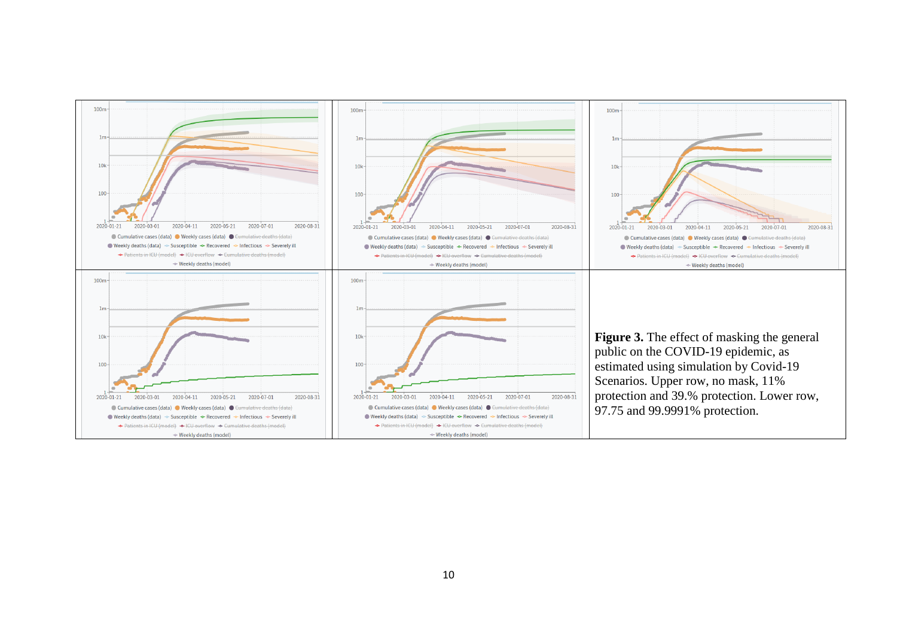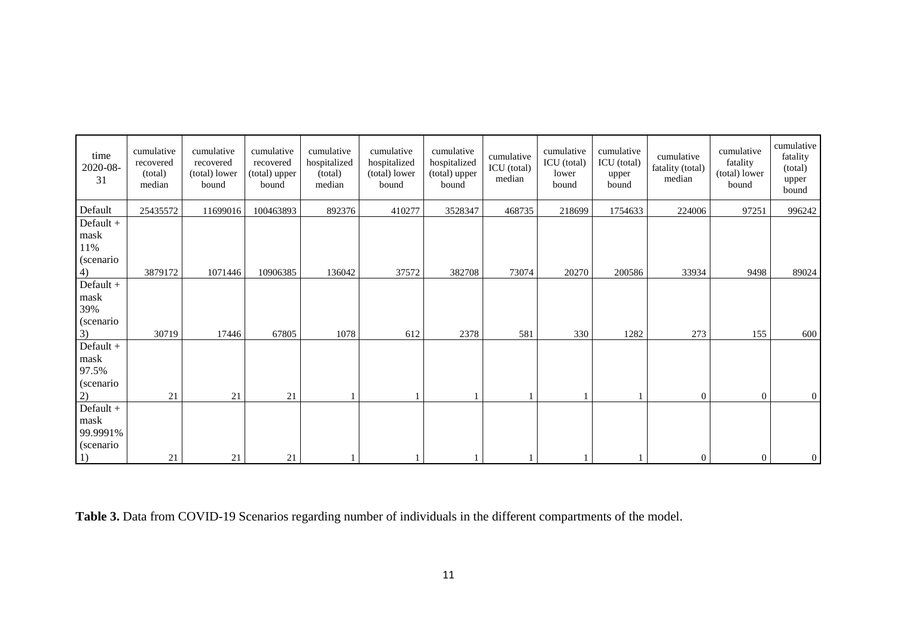| time<br>2020-08-<br>31                                        | cumulative<br>recovered<br>(total)<br>median | cumulative<br>recovered<br>(total) lower<br>bound | cumulative<br>recovered<br>(total) upper<br>bound | cumulative<br>hospitalized<br>(total)<br>median | cumulative<br>hospitalized<br>(total) lower<br>bound | cumulative<br>hospitalized<br>(total) upper<br>bound | cumulative<br>ICU (total)<br>median | cumulative<br>ICU (total)<br>lower<br>bound | cumulative<br>ICU (total)<br>upper<br>bound | cumulative<br>fatality (total)<br>median | cumulative<br>fatality<br>(total) lower<br>bound | cumulative<br>fatality<br>(total)<br>upper<br>bound |
|---------------------------------------------------------------|----------------------------------------------|---------------------------------------------------|---------------------------------------------------|-------------------------------------------------|------------------------------------------------------|------------------------------------------------------|-------------------------------------|---------------------------------------------|---------------------------------------------|------------------------------------------|--------------------------------------------------|-----------------------------------------------------|
| Default                                                       | 25435572                                     | 11699016                                          | 100463893                                         | 892376                                          | 410277                                               | 3528347                                              | 468735                              | 218699                                      | 1754633                                     | 224006                                   | 97251                                            | 996242                                              |
| $Default +$<br>mask<br>11%<br>(scenario                       |                                              |                                                   |                                                   |                                                 |                                                      |                                                      |                                     |                                             |                                             |                                          |                                                  |                                                     |
| 4)                                                            | 3879172                                      | 1071446                                           | 10906385                                          | 136042                                          | 37572                                                | 382708                                               | 73074                               | 20270                                       | 200586                                      | 33934                                    | 9498                                             | 89024                                               |
| $Default +$<br>mask<br>39%<br>(scenario                       |                                              |                                                   |                                                   |                                                 |                                                      |                                                      |                                     |                                             |                                             |                                          |                                                  |                                                     |
| 3)                                                            | 30719                                        | 17446                                             | 67805                                             | 1078                                            | 612                                                  | 2378                                                 | 581                                 | 330                                         | 1282                                        | 273                                      | 155                                              | 600                                                 |
| Default +<br>mask<br>97.5%<br>(scenario                       |                                              |                                                   |                                                   |                                                 |                                                      |                                                      |                                     |                                             |                                             |                                          |                                                  |                                                     |
| 2)                                                            | 21                                           | 21                                                | 21                                                |                                                 |                                                      |                                                      |                                     |                                             |                                             | $\overline{0}$                           | $\overline{0}$                                   | $\vert 0 \vert$                                     |
| $Default +$<br>mask<br>99.9991%<br>(scenario)<br><sup>1</sup> | 21                                           | 21                                                | 21                                                |                                                 |                                                      |                                                      |                                     |                                             |                                             | $\overline{0}$                           | $\overline{0}$                                   | $\vert 0 \vert$                                     |

**Table 3.** Data from COVID-19 Scenarios regarding number of individuals in the different compartments of the model.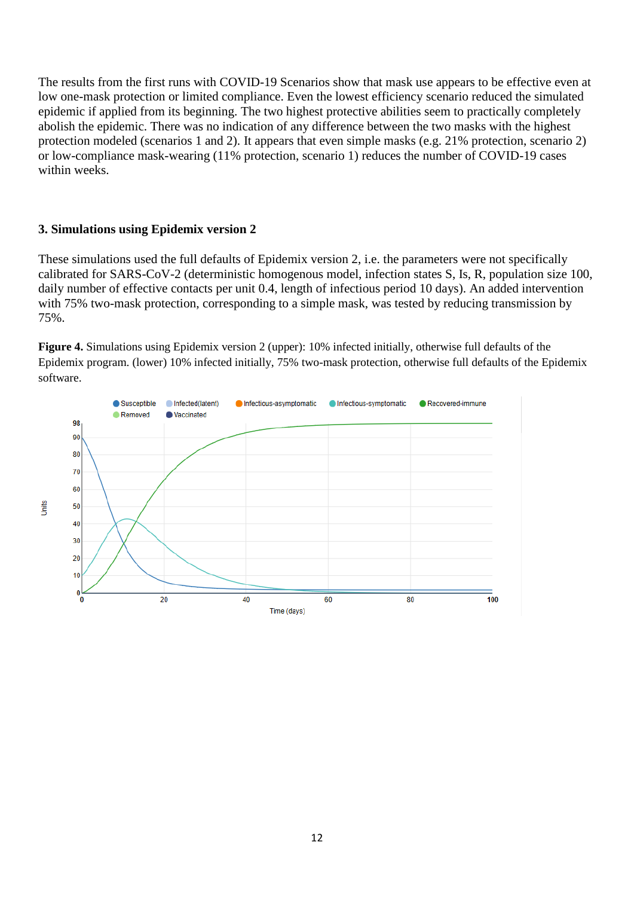The results from the first runs with COVID-19 Scenarios show that mask use appears to be effective even at low one-mask protection or limited compliance. Even the lowest efficiency scenario reduced the simulated epidemic if applied from its beginning. The two highest protective abilities seem to practically completely abolish the epidemic. There was no indication of any difference between the two masks with the highest protection modeled (scenarios 1 and 2). It appears that even simple masks (e.g. 21% protection, scenario 2) or low-compliance mask-wearing (11% protection, scenario 1) reduces the number of COVID-19 cases within weeks.

#### **3. Simulations using Epidemix version 2**

These simulations used the full defaults of Epidemix version 2, i.e. the parameters were not specifically calibrated for SARS-CoV-2 (deterministic homogenous model, infection states S, Is, R, population size 100, daily number of effective contacts per unit 0.4, length of infectious period 10 days). An added intervention with 75% two-mask protection, corresponding to a simple mask, was tested by reducing transmission by 75%.

**Figure 4.** Simulations using Epidemix version 2 (upper): 10% infected initially, otherwise full defaults of the Epidemix program. (lower) 10% infected initially, 75% two-mask protection, otherwise full defaults of the Epidemix software.

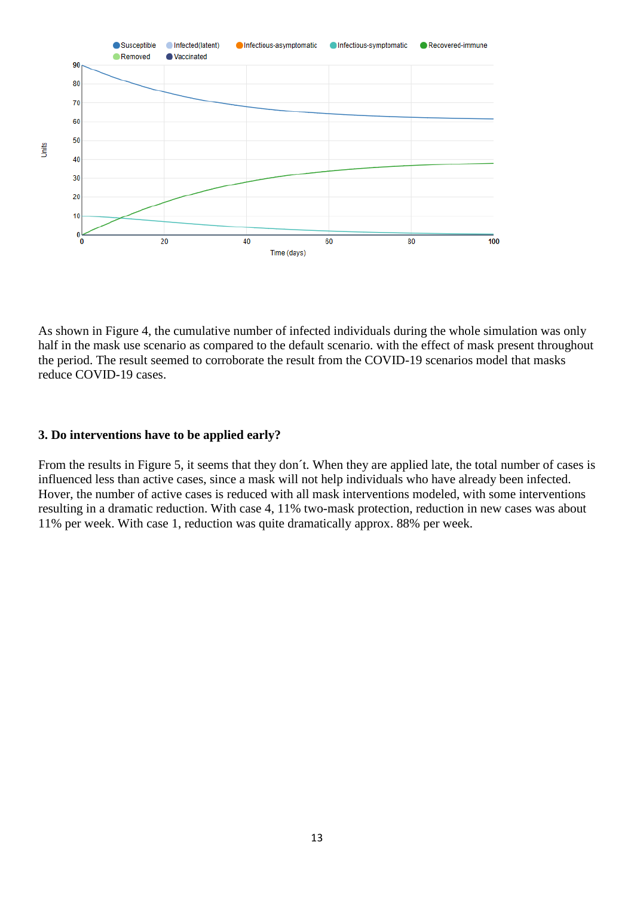

As shown in Figure 4, the cumulative number of infected individuals during the whole simulation was only half in the mask use scenario as compared to the default scenario. with the effect of mask present throughout the period. The result seemed to corroborate the result from the COVID-19 scenarios model that masks reduce COVID-19 cases.

## **3. Do interventions have to be applied early?**

From the results in Figure 5, it seems that they don´t. When they are applied late, the total number of cases is influenced less than active cases, since a mask will not help individuals who have already been infected. Hover, the number of active cases is reduced with all mask interventions modeled, with some interventions resulting in a dramatic reduction. With case 4, 11% two-mask protection, reduction in new cases was about 11% per week. With case 1, reduction was quite dramatically approx. 88% per week.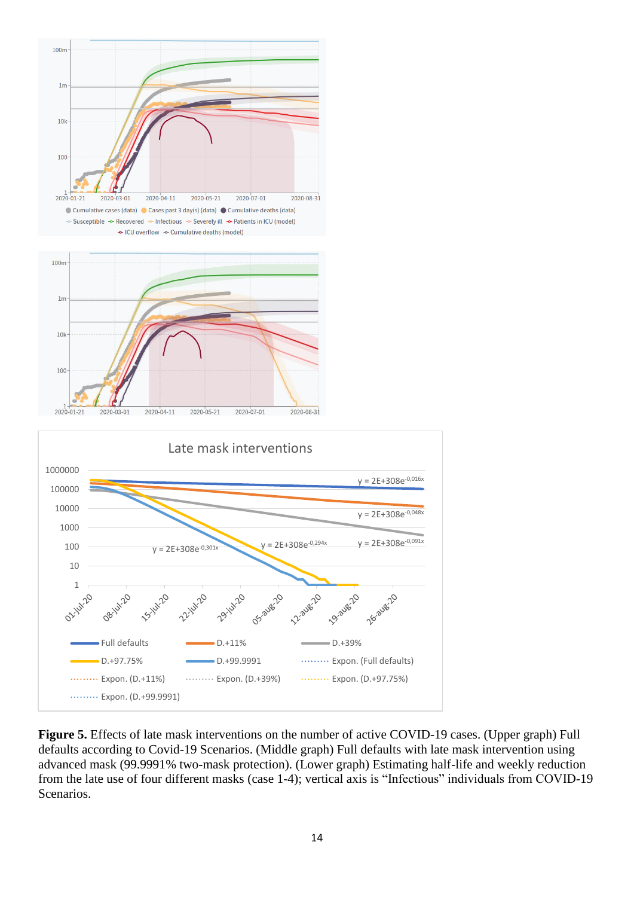

**Figure 5.** Effects of late mask interventions on the number of active COVID-19 cases. (Upper graph) Full defaults according to Covid-19 Scenarios. (Middle graph) Full defaults with late mask intervention using advanced mask (99.9991% two-mask protection). (Lower graph) Estimating half-life and weekly reduction from the late use of four different masks (case 1-4); vertical axis is "Infectious" individuals from COVID-19 Scenarios.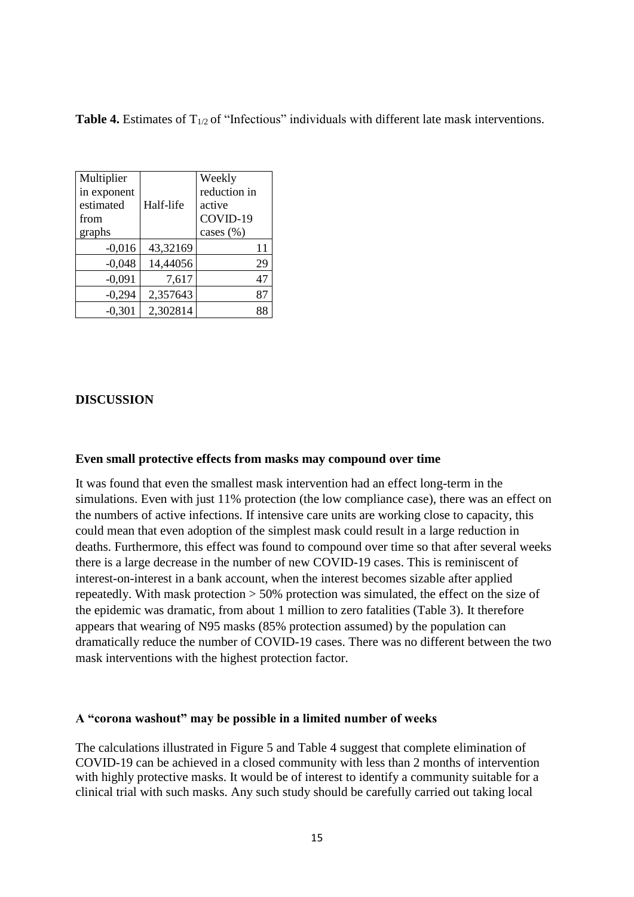**Table 4.** Estimates of T<sub>1/2</sub> of "Infectious" individuals with different late mask interventions.

| Multiplier<br>in exponent<br>estimated<br>from<br>graphs | Half-life | Weekly<br>reduction in<br>active<br>COVID-19<br>cases (%) |
|----------------------------------------------------------|-----------|-----------------------------------------------------------|
| $-0,016$                                                 | 43,32169  | 11                                                        |
| $-0,048$                                                 | 14,44056  | 29                                                        |
| $-0,091$                                                 | 7,617     | 47                                                        |
| $-0,294$                                                 | 2,357643  | 87                                                        |
| $-0.301$                                                 | 2,302814  | 88                                                        |

## **DISCUSSION**

#### **Even small protective effects from masks may compound over time**

It was found that even the smallest mask intervention had an effect long-term in the simulations. Even with just 11% protection (the low compliance case), there was an effect on the numbers of active infections. If intensive care units are working close to capacity, this could mean that even adoption of the simplest mask could result in a large reduction in deaths. Furthermore, this effect was found to compound over time so that after several weeks there is a large decrease in the number of new COVID-19 cases. This is reminiscent of interest-on-interest in a bank account, when the interest becomes sizable after applied repeatedly. With mask protection > 50% protection was simulated, the effect on the size of the epidemic was dramatic, from about 1 million to zero fatalities (Table 3). It therefore appears that wearing of N95 masks (85% protection assumed) by the population can dramatically reduce the number of COVID-19 cases. There was no different between the two mask interventions with the highest protection factor.

#### **A "corona washout" may be possible in a limited number of weeks**

The calculations illustrated in Figure 5 and Table 4 suggest that complete elimination of COVID-19 can be achieved in a closed community with less than 2 months of intervention with highly protective masks. It would be of interest to identify a community suitable for a clinical trial with such masks. Any such study should be carefully carried out taking local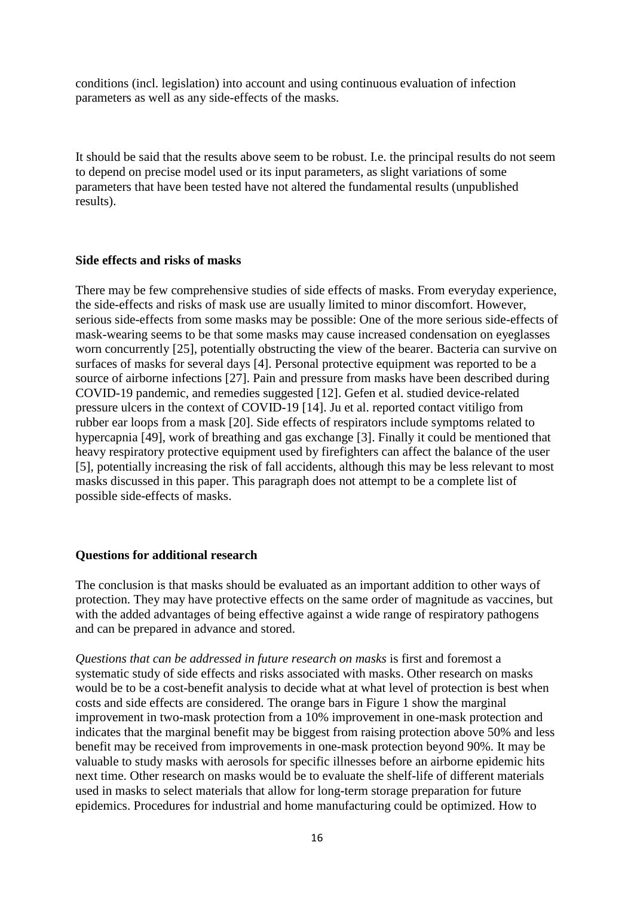conditions (incl. legislation) into account and using continuous evaluation of infection parameters as well as any side-effects of the masks.

It should be said that the results above seem to be robust. I.e. the principal results do not seem to depend on precise model used or its input parameters, as slight variations of some parameters that have been tested have not altered the fundamental results (unpublished results).

#### **Side effects and risks of masks**

There may be few comprehensive studies of side effects of masks. From everyday experience, the side-effects and risks of mask use are usually limited to minor discomfort. However, serious side-effects from some masks may be possible: One of the more serious side-effects of mask-wearing seems to be that some masks may cause increased condensation on eyeglasses worn concurrently [25], potentially obstructing the view of the bearer. Bacteria can survive on surfaces of masks for several days [4]. Personal protective equipment was reported to be a source of airborne infections [27]. Pain and pressure from masks have been described during COVID-19 pandemic, and remedies suggested [12]. Gefen et al. studied device-related pressure ulcers in the context of COVID-19 [14]. Ju et al. reported contact vitiligo from rubber ear loops from a mask [20]. Side effects of respirators include symptoms related to hypercapnia [49], work of breathing and gas exchange [3]. Finally it could be mentioned that heavy respiratory protective equipment used by firefighters can affect the balance of the user [5], potentially increasing the risk of fall accidents, although this may be less relevant to most masks discussed in this paper. This paragraph does not attempt to be a complete list of possible side-effects of masks.

#### **Questions for additional research**

The conclusion is that masks should be evaluated as an important addition to other ways of protection. They may have protective effects on the same order of magnitude as vaccines, but with the added advantages of being effective against a wide range of respiratory pathogens and can be prepared in advance and stored.

*Questions that can be addressed in future research on masks* is first and foremost a systematic study of side effects and risks associated with masks. Other research on masks would be to be a cost-benefit analysis to decide what at what level of protection is best when costs and side effects are considered. The orange bars in Figure 1 show the marginal improvement in two-mask protection from a 10% improvement in one-mask protection and indicates that the marginal benefit may be biggest from raising protection above 50% and less benefit may be received from improvements in one-mask protection beyond 90%. It may be valuable to study masks with aerosols for specific illnesses before an airborne epidemic hits next time. Other research on masks would be to evaluate the shelf-life of different materials used in masks to select materials that allow for long-term storage preparation for future epidemics. Procedures for industrial and home manufacturing could be optimized. How to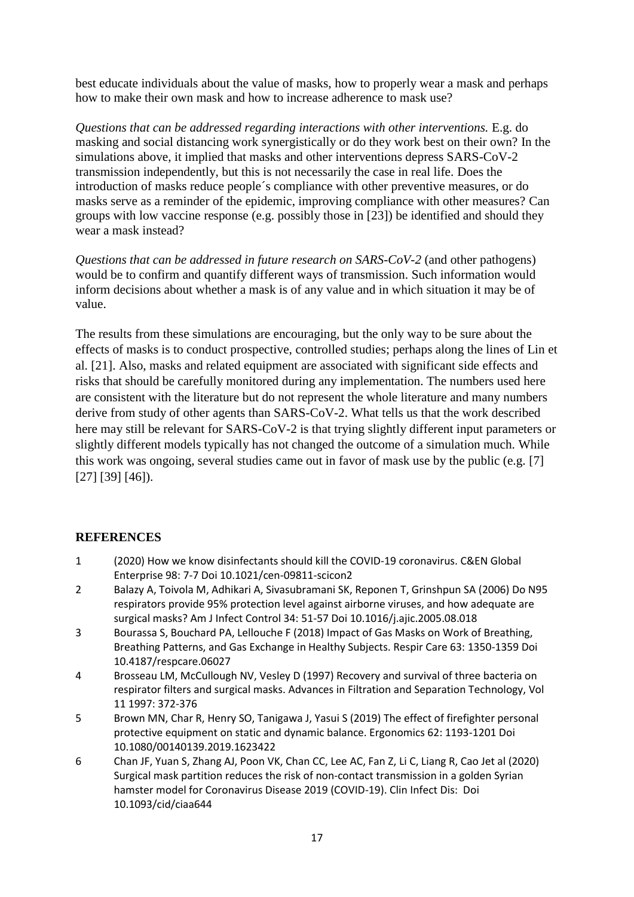best educate individuals about the value of masks, how to properly wear a mask and perhaps how to make their own mask and how to increase adherence to mask use?

*Questions that can be addressed regarding interactions with other interventions.* E.g. do masking and social distancing work synergistically or do they work best on their own? In the simulations above, it implied that masks and other interventions depress SARS-CoV-2 transmission independently, but this is not necessarily the case in real life. Does the introduction of masks reduce people´s compliance with other preventive measures, or do masks serve as a reminder of the epidemic, improving compliance with other measures? Can groups with low vaccine response (e.g. possibly those in [23]) be identified and should they wear a mask instead?

*Questions that can be addressed in future research on SARS-CoV-2* (and other pathogens) would be to confirm and quantify different ways of transmission. Such information would inform decisions about whether a mask is of any value and in which situation it may be of value.

The results from these simulations are encouraging, but the only way to be sure about the effects of masks is to conduct prospective, controlled studies; perhaps along the lines of Lin et al. [21]. Also, masks and related equipment are associated with significant side effects and risks that should be carefully monitored during any implementation. The numbers used here are consistent with the literature but do not represent the whole literature and many numbers derive from study of other agents than SARS-CoV-2. What tells us that the work described here may still be relevant for SARS-CoV-2 is that trying slightly different input parameters or slightly different models typically has not changed the outcome of a simulation much. While this work was ongoing, several studies came out in favor of mask use by the public (e.g. [7] [27] [39] [46]).

# **REFERENCES**

- 1 (2020) How we know disinfectants should kill the COVID-19 coronavirus. C&EN Global Enterprise 98: 7-7 Doi 10.1021/cen-09811-scicon2
- 2 Balazy A, Toivola M, Adhikari A, Sivasubramani SK, Reponen T, Grinshpun SA (2006) Do N95 respirators provide 95% protection level against airborne viruses, and how adequate are surgical masks? Am J Infect Control 34: 51-57 Doi 10.1016/j.ajic.2005.08.018
- 3 Bourassa S, Bouchard PA, Lellouche F (2018) Impact of Gas Masks on Work of Breathing, Breathing Patterns, and Gas Exchange in Healthy Subjects. Respir Care 63: 1350-1359 Doi 10.4187/respcare.06027
- 4 Brosseau LM, McCullough NV, Vesley D (1997) Recovery and survival of three bacteria on respirator filters and surgical masks. Advances in Filtration and Separation Technology, Vol 11 1997: 372-376
- 5 Brown MN, Char R, Henry SO, Tanigawa J, Yasui S (2019) The effect of firefighter personal protective equipment on static and dynamic balance. Ergonomics 62: 1193-1201 Doi 10.1080/00140139.2019.1623422
- 6 Chan JF, Yuan S, Zhang AJ, Poon VK, Chan CC, Lee AC, Fan Z, Li C, Liang R, Cao Jet al (2020) Surgical mask partition reduces the risk of non-contact transmission in a golden Syrian hamster model for Coronavirus Disease 2019 (COVID-19). Clin Infect Dis: Doi 10.1093/cid/ciaa644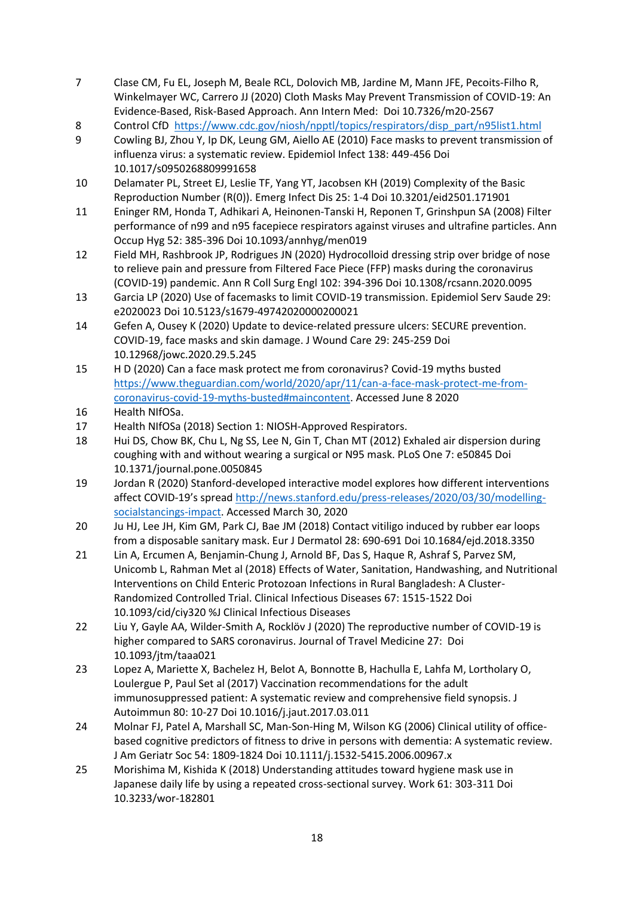- 7 Clase CM, Fu EL, Joseph M, Beale RCL, Dolovich MB, Jardine M, Mann JFE, Pecoits-Filho R, Winkelmayer WC, Carrero JJ (2020) Cloth Masks May Prevent Transmission of COVID-19: An Evidence-Based, Risk-Based Approach. Ann Intern Med: Doi 10.7326/m20-2567
- 8 Control CfD [https://www.cdc.gov/niosh/npptl/topics/respirators/disp\\_part/n95list1.html](https://www.cdc.gov/niosh/npptl/topics/respirators/disp_part/n95list1.html)
- 9 Cowling BJ, Zhou Y, Ip DK, Leung GM, Aiello AE (2010) Face masks to prevent transmission of influenza virus: a systematic review. Epidemiol Infect 138: 449-456 Doi 10.1017/s0950268809991658
- 10 Delamater PL, Street EJ, Leslie TF, Yang YT, Jacobsen KH (2019) Complexity of the Basic Reproduction Number (R(0)). Emerg Infect Dis 25: 1-4 Doi 10.3201/eid2501.171901
- 11 Eninger RM, Honda T, Adhikari A, Heinonen-Tanski H, Reponen T, Grinshpun SA (2008) Filter performance of n99 and n95 facepiece respirators against viruses and ultrafine particles. Ann Occup Hyg 52: 385-396 Doi 10.1093/annhyg/men019
- 12 Field MH, Rashbrook JP, Rodrigues JN (2020) Hydrocolloid dressing strip over bridge of nose to relieve pain and pressure from Filtered Face Piece (FFP) masks during the coronavirus (COVID-19) pandemic. Ann R Coll Surg Engl 102: 394-396 Doi 10.1308/rcsann.2020.0095
- 13 Garcia LP (2020) Use of facemasks to limit COVID-19 transmission. Epidemiol Serv Saude 29: e2020023 Doi 10.5123/s1679-49742020000200021
- 14 Gefen A, Ousey K (2020) Update to device-related pressure ulcers: SECURE prevention. COVID-19, face masks and skin damage. J Wound Care 29: 245-259 Doi 10.12968/jowc.2020.29.5.245
- 15 H D (2020) Can a face mask protect me from coronavirus? Covid-19 myths busted [https://www.theguardian.com/world/2020/apr/11/can-a-face-mask-protect-me-from](https://www.theguardian.com/world/2020/apr/11/can-a-face-mask-protect-me-from-coronavirus-covid-19-myths-busted#maincontent)[coronavirus-covid-19-myths-busted#maincontent.](https://www.theguardian.com/world/2020/apr/11/can-a-face-mask-protect-me-from-coronavirus-covid-19-myths-busted#maincontent) Accessed June 8 2020
- 16 Health NIfOSa.
- 17 Health NIfOSa (2018) Section 1: NIOSH-Approved Respirators.
- 18 Hui DS, Chow BK, Chu L, Ng SS, Lee N, Gin T, Chan MT (2012) Exhaled air dispersion during coughing with and without wearing a surgical or N95 mask. PLoS One 7: e50845 Doi 10.1371/journal.pone.0050845
- 19 Jordan R (2020) Stanford-developed interactive model explores how different interventions affect COVID-19's spread [http://news.stanford.edu/press-releases/2020/03/30/modelling](http://news.stanford.edu/press-releases/2020/03/30/modelling-socialstancings-impact)[socialstancings-impact.](http://news.stanford.edu/press-releases/2020/03/30/modelling-socialstancings-impact) Accessed March 30, 2020
- 20 Ju HJ, Lee JH, Kim GM, Park CJ, Bae JM (2018) Contact vitiligo induced by rubber ear loops from a disposable sanitary mask. Eur J Dermatol 28: 690-691 Doi 10.1684/ejd.2018.3350
- 21 Lin A, Ercumen A, Benjamin-Chung J, Arnold BF, Das S, Haque R, Ashraf S, Parvez SM, Unicomb L, Rahman Met al (2018) Effects of Water, Sanitation, Handwashing, and Nutritional Interventions on Child Enteric Protozoan Infections in Rural Bangladesh: A Cluster-Randomized Controlled Trial. Clinical Infectious Diseases 67: 1515-1522 Doi 10.1093/cid/ciy320 %J Clinical Infectious Diseases
- 22 Liu Y, Gayle AA, Wilder-Smith A, Rocklöv J (2020) The reproductive number of COVID-19 is higher compared to SARS coronavirus. Journal of Travel Medicine 27: Doi 10.1093/jtm/taaa021
- 23 Lopez A, Mariette X, Bachelez H, Belot A, Bonnotte B, Hachulla E, Lahfa M, Lortholary O, Loulergue P, Paul Set al (2017) Vaccination recommendations for the adult immunosuppressed patient: A systematic review and comprehensive field synopsis. J Autoimmun 80: 10-27 Doi 10.1016/j.jaut.2017.03.011
- 24 Molnar FJ, Patel A, Marshall SC, Man-Son-Hing M, Wilson KG (2006) Clinical utility of officebased cognitive predictors of fitness to drive in persons with dementia: A systematic review. J Am Geriatr Soc 54: 1809-1824 Doi 10.1111/j.1532-5415.2006.00967.x
- 25 Morishima M, Kishida K (2018) Understanding attitudes toward hygiene mask use in Japanese daily life by using a repeated cross-sectional survey. Work 61: 303-311 Doi 10.3233/wor-182801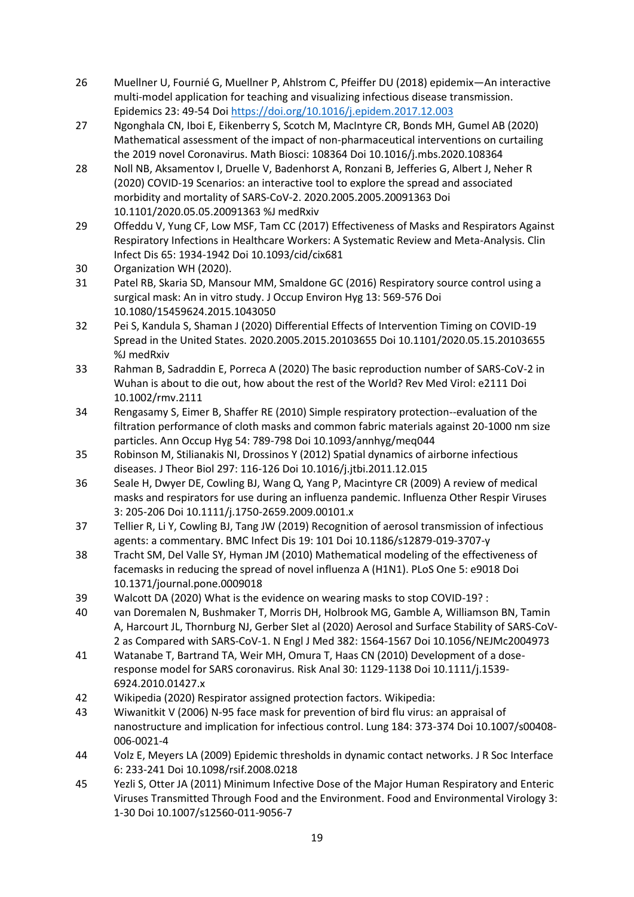- 26 Muellner U, Fournié G, Muellner P, Ahlstrom C, Pfeiffer DU (2018) epidemix—An interactive multi-model application for teaching and visualizing infectious disease transmission. Epidemics 23: 49-54 Doi<https://doi.org/10.1016/j.epidem.2017.12.003>
- 27 Ngonghala CN, Iboi E, Eikenberry S, Scotch M, MacIntyre CR, Bonds MH, Gumel AB (2020) Mathematical assessment of the impact of non-pharmaceutical interventions on curtailing the 2019 novel Coronavirus. Math Biosci: 108364 Doi 10.1016/j.mbs.2020.108364
- 28 Noll NB, Aksamentov I, Druelle V, Badenhorst A, Ronzani B, Jefferies G, Albert J, Neher R (2020) COVID-19 Scenarios: an interactive tool to explore the spread and associated morbidity and mortality of SARS-CoV-2. 2020.2005.2005.20091363 Doi 10.1101/2020.05.05.20091363 %J medRxiv
- 29 Offeddu V, Yung CF, Low MSF, Tam CC (2017) Effectiveness of Masks and Respirators Against Respiratory Infections in Healthcare Workers: A Systematic Review and Meta-Analysis. Clin Infect Dis 65: 1934-1942 Doi 10.1093/cid/cix681
- 30 Organization WH (2020).
- 31 Patel RB, Skaria SD, Mansour MM, Smaldone GC (2016) Respiratory source control using a surgical mask: An in vitro study. J Occup Environ Hyg 13: 569-576 Doi 10.1080/15459624.2015.1043050
- 32 Pei S, Kandula S, Shaman J (2020) Differential Effects of Intervention Timing on COVID-19 Spread in the United States. 2020.2005.2015.20103655 Doi 10.1101/2020.05.15.20103655 %J medRxiv
- 33 Rahman B, Sadraddin E, Porreca A (2020) The basic reproduction number of SARS-CoV-2 in Wuhan is about to die out, how about the rest of the World? Rev Med Virol: e2111 Doi 10.1002/rmv.2111
- 34 Rengasamy S, Eimer B, Shaffer RE (2010) Simple respiratory protection--evaluation of the filtration performance of cloth masks and common fabric materials against 20-1000 nm size particles. Ann Occup Hyg 54: 789-798 Doi 10.1093/annhyg/meq044
- 35 Robinson M, Stilianakis NI, Drossinos Y (2012) Spatial dynamics of airborne infectious diseases. J Theor Biol 297: 116-126 Doi 10.1016/j.jtbi.2011.12.015
- 36 Seale H, Dwyer DE, Cowling BJ, Wang Q, Yang P, Macintyre CR (2009) A review of medical masks and respirators for use during an influenza pandemic. Influenza Other Respir Viruses 3: 205-206 Doi 10.1111/j.1750-2659.2009.00101.x
- 37 Tellier R, Li Y, Cowling BJ, Tang JW (2019) Recognition of aerosol transmission of infectious agents: a commentary. BMC Infect Dis 19: 101 Doi 10.1186/s12879-019-3707-y
- 38 Tracht SM, Del Valle SY, Hyman JM (2010) Mathematical modeling of the effectiveness of facemasks in reducing the spread of novel influenza A (H1N1). PLoS One 5: e9018 Doi 10.1371/journal.pone.0009018
- 39 Walcott DA (2020) What is the evidence on wearing masks to stop COVID-19? :
- 40 van Doremalen N, Bushmaker T, Morris DH, Holbrook MG, Gamble A, Williamson BN, Tamin A, Harcourt JL, Thornburg NJ, Gerber SIet al (2020) Aerosol and Surface Stability of SARS-CoV-2 as Compared with SARS-CoV-1. N Engl J Med 382: 1564-1567 Doi 10.1056/NEJMc2004973
- 41 Watanabe T, Bartrand TA, Weir MH, Omura T, Haas CN (2010) Development of a doseresponse model for SARS coronavirus. Risk Anal 30: 1129-1138 Doi 10.1111/j.1539- 6924.2010.01427.x
- 42 Wikipedia (2020) Respirator assigned protection factors. Wikipedia:
- 43 Wiwanitkit V (2006) N-95 face mask for prevention of bird flu virus: an appraisal of nanostructure and implication for infectious control. Lung 184: 373-374 Doi 10.1007/s00408- 006-0021-4
- 44 Volz E, Meyers LA (2009) Epidemic thresholds in dynamic contact networks. J R Soc Interface 6: 233-241 Doi 10.1098/rsif.2008.0218
- 45 Yezli S, Otter JA (2011) Minimum Infective Dose of the Major Human Respiratory and Enteric Viruses Transmitted Through Food and the Environment. Food and Environmental Virology 3: 1-30 Doi 10.1007/s12560-011-9056-7